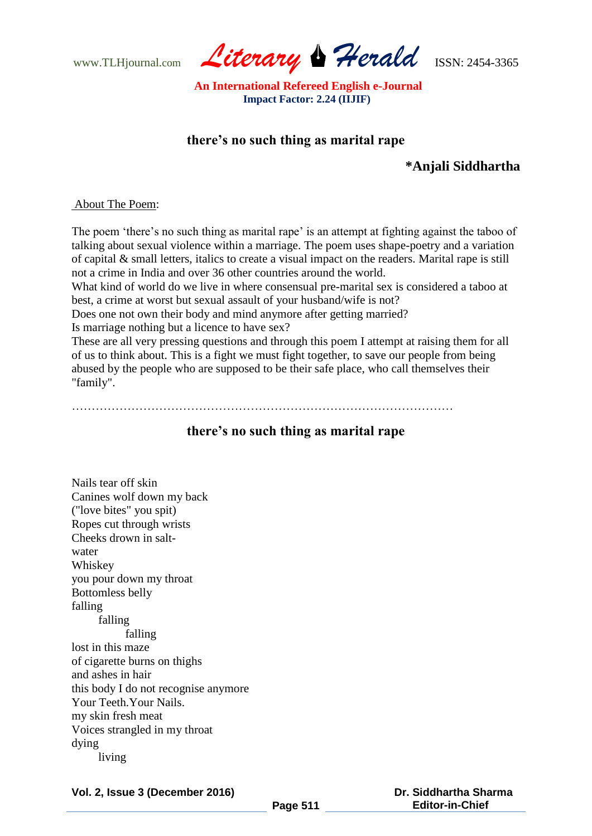www.TLHjournal.com *Literary Herald*ISSN: 2454-3365

 **An International Refereed English e-Journal Impact Factor: 2.24 (IIJIF)**

# **there's no such thing as marital rape**

# **\*Anjali Siddhartha**

#### About The Poem:

The poem 'there's no such thing as marital rape' is an attempt at fighting against the taboo of talking about sexual violence within a marriage. The poem uses shape-poetry and a variation of capital & small letters, italics to create a visual impact on the readers. Marital rape is still not a crime in India and over 36 other countries around the world.

What kind of world do we live in where consensual pre-marital sex is considered a taboo at best, a crime at worst but sexual assault of your husband/wife is not?

Does one not own their body and mind anymore after getting married?

Is marriage nothing but a licence to have sex?

These are all very pressing questions and through this poem I attempt at raising them for all of us to think about. This is a fight we must fight together, to save our people from being abused by the people who are supposed to be their safe place, who call themselves their "family".

……………………………………………………………………………………

### **there's no such thing as marital rape**

Nails tear off skin Canines wolf down my back ("love bites" you spit) Ropes cut through wrists Cheeks drown in saltwater Whiskey you pour down my throat Bottomless belly falling falling falling lost in this maze of cigarette burns on thighs and ashes in hair this body I do not recognise anymore Your Teeth.Your Nails. my skin fresh meat Voices strangled in my throat dying living

**Vol. 2, Issue 3 (December 2016)**

 **Dr. Siddhartha Sharma Editor-in-Chief**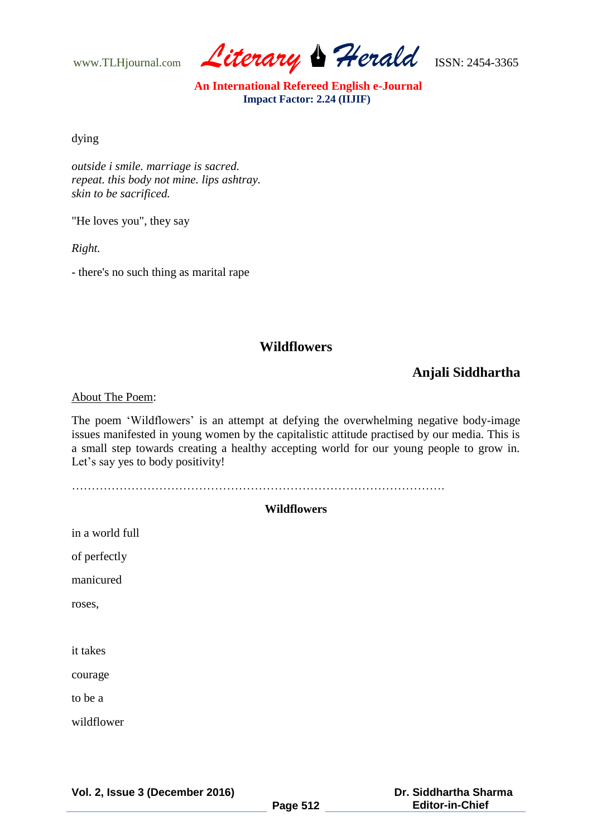www.TLHjournal.com *Literary Herald*ISSN: 2454-3365

 **An International Refereed English e-Journal Impact Factor: 2.24 (IIJIF)**

dying

*outside i smile. marriage is sacred. repeat. this body not mine. lips ashtray. skin to be sacrificed.* 

"He loves you", they say

*Right.*

- there's no such thing as marital rape

### **Wildflowers**

# **Anjali Siddhartha**

About The Poem:

The poem 'Wildflowers' is an attempt at defying the overwhelming negative body-image issues manifested in young women by the capitalistic attitude practised by our media. This is a small step towards creating a healthy accepting world for our young people to grow in. Let's say yes to body positivity!

………………………………………………………………………………….

# **Wildflowers**

| in a world full |  |
|-----------------|--|
| of perfectly    |  |
| manicured       |  |
| roses,          |  |
|                 |  |
| it takes        |  |
| courage         |  |
| to be a         |  |
| wildflower      |  |
|                 |  |